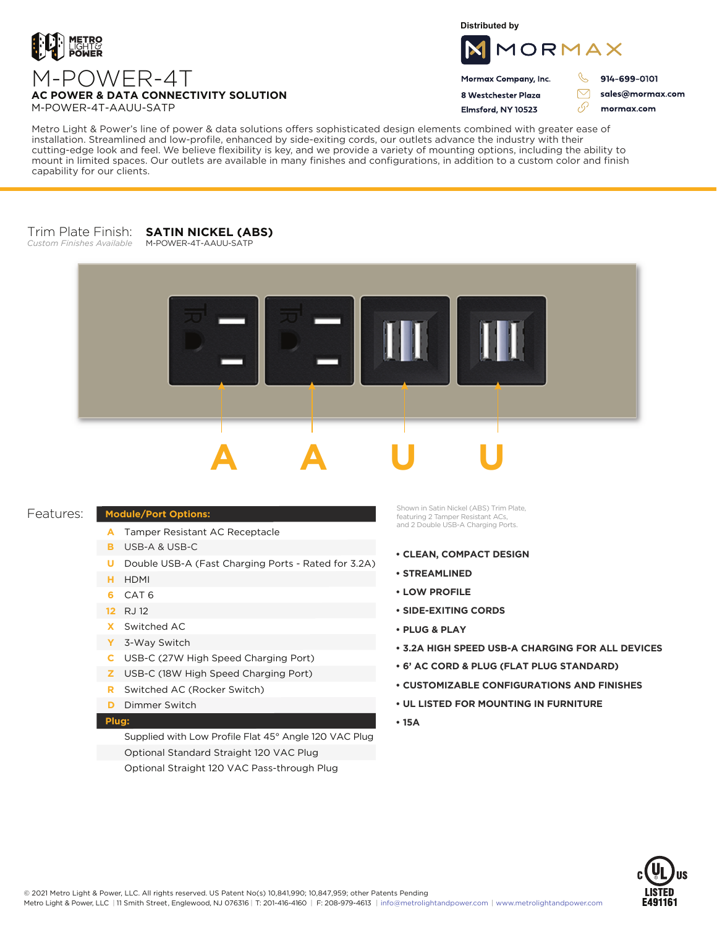

**Distributed by**



Mormax Company, Inc. 8 Westchester Plaza

Flmsford, NY 10523

 $\mathscr{C}$ 914-699-0101

 $\triangledown$ 

وي

sales@mormax.com mormax.com

M-POWER-4T **AC POWER & DATA CONNECTIVITY SOLUTION** M-POWER-4T-AAUU-SATP

Metro Light & Power's line of power & data solutions offers sophisticated design elements combined with greater ease of installation. Streamlined and low-profile, enhanced by side-exiting cords, our outlets advance the industry with their cutting-edge look and feel. We believe flexibility is key, and we provide a variety of mounting options, including the ability to mount in limited spaces. Our outlets are available in many finishes and configurations, in addition to a custom color and finish capability for our clients.

## Trim Plate Finish: **SATIN NICKEL (ABS)**

*Custom Finishes Available*





## Features:

## **Module/Port Options:**

- A Tamper Resistant AC Receptacle
- USB-A & USB-C **B**
- U Double USB-A (Fast Charging Ports Rated for 3.2A)
- HDMI **H**
- CAT 6 **6**
- 12 RJ 12
- Switched AC **X**
- 3-Way Switch **Y**
- USB-C (27W High Speed Charging Port) **C**
- USB-C (18W High Speed Charging Port) **Z**
- Switched AC (Rocker Switch) **R**
- **D** Dimmer Switch

## **Plug:**

Supplied with Low Profile Flat 45° Angle 120 VAC Plug Optional Standard Straight 120 VAC Plug Optional Straight 120 VAC Pass-through Plug

Shown in Satin Nickel (ABS) Trim Plate, featuring 2 Tamper Resistant ACs, and 2 Double USB-A Charging Ports.

- **CLEAN, COMPACT DESIGN**
- **STREAMLINED**
- **LOW PROFILE**
- **SIDE-EXITING CORDS**
- **PLUG & PLAY**
- **3.2A HIGH SPEED USB-A CHARGING FOR ALL DEVICES**
- **6' AC CORD & PLUG (FLAT PLUG STANDARD)**
- **CUSTOMIZABLE CONFIGURATIONS AND FINISHES**
- **UL LISTED FOR MOUNTING IN FURNITURE**
- **15A**